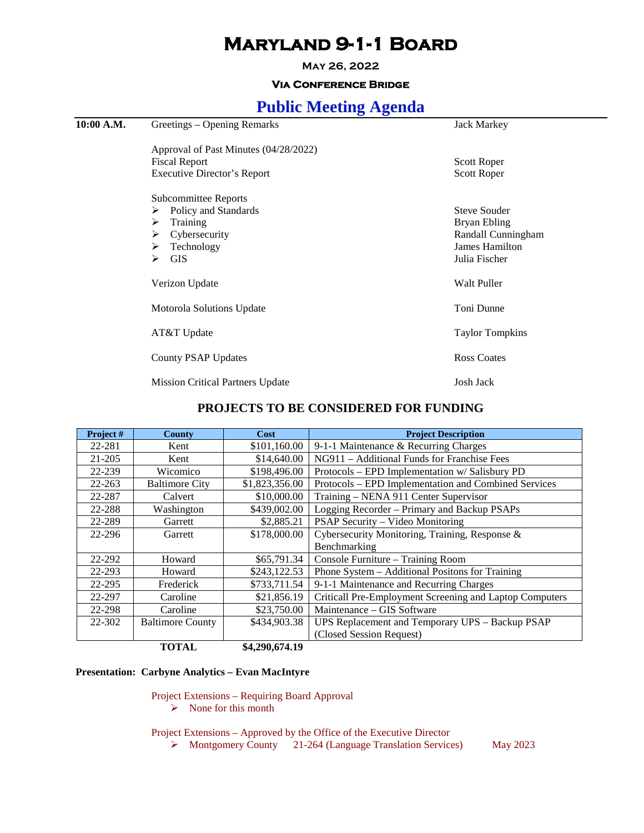# **Maryland 9-1-1 Board**

**May 26, 2022**

### **Via Conference Bridge**

## **Public Meeting Agenda**

| 10:00 A.M. | Greetings - Opening Remarks             | <b>Jack Markey</b>     |
|------------|-----------------------------------------|------------------------|
|            | Approval of Past Minutes (04/28/2022)   |                        |
|            | <b>Fiscal Report</b>                    | <b>Scott Roper</b>     |
|            | <b>Executive Director's Report</b>      | <b>Scott Roper</b>     |
|            | <b>Subcommittee Reports</b>             |                        |
|            | Policy and Standards<br>➤               | <b>Steve Souder</b>    |
|            | Training<br>⋗                           | <b>Bryan Ebling</b>    |
|            | Cybersecurity<br>⋗                      | Randall Cunningham     |
|            | Technology<br>➤                         | <b>James Hamilton</b>  |
|            | <b>GIS</b><br>⋗                         | Julia Fischer          |
|            |                                         |                        |
|            | Verizon Update                          | <b>Walt Puller</b>     |
|            | Motorola Solutions Update               | Toni Dunne             |
|            | AT&T Update                             | <b>Taylor Tompkins</b> |
|            | <b>County PSAP Updates</b>              | <b>Ross Coates</b>     |
|            | <b>Mission Critical Partners Update</b> | Josh Jack              |
|            |                                         |                        |

### **PROJECTS TO BE CONSIDERED FOR FUNDING**

| Project#   | <b>County</b>           | Cost           | <b>Project Description</b>                              |
|------------|-------------------------|----------------|---------------------------------------------------------|
| 22-281     | Kent                    | \$101,160.00   | 9-1-1 Maintenance & Recurring Charges                   |
| 21-205     | Kent                    | \$14,640.00    | NG911 - Additional Funds for Franchise Fees             |
| 22-239     | Wicomico                | \$198,496.00   | Protocols – EPD Implementation w/ Salisbury PD          |
| $22 - 263$ | <b>Baltimore City</b>   | \$1,823,356.00 | Protocols – EPD Implementation and Combined Services    |
| 22-287     | Calvert                 | \$10,000.00    | Training – NENA 911 Center Supervisor                   |
| 22-288     | Washington              | \$439,002.00   | Logging Recorder - Primary and Backup PSAPs             |
| 22-289     | Garrett                 | \$2,885.21     | <b>PSAP Security – Video Monitoring</b>                 |
| 22-296     | Garrett                 | \$178,000.00   | Cybersecurity Monitoring, Training, Response &          |
|            |                         |                | Benchmarking                                            |
| 22-292     | Howard                  | \$65,791.34    | Console Furniture - Training Room                       |
| 22-293     | Howard                  | \$243,122.53   | Phone System - Additional Positons for Training         |
| 22-295     | Frederick               | \$733,711.54   | 9-1-1 Maintenance and Recurring Charges                 |
| 22-297     | Caroline                | \$21,856.19    | Criticall Pre-Employment Screening and Laptop Computers |
| 22-298     | Caroline                | \$23,750.00    | Maintenance – GIS Software                              |
| 22-302     | <b>Baltimore County</b> | \$434,903.38   | UPS Replacement and Temporary UPS - Backup PSAP         |
|            |                         |                | (Closed Session Request)                                |
|            | <b>TOTAL</b>            | \$4,290,674.19 |                                                         |

#### **Presentation: Carbyne Analytics – Evan MacIntyre**

Project Extensions – Requiring Board Approval

 $\triangleright$  None for this month

Project Extensions – Approved by the Office of the Executive Director

Montgomery County 21-264 (Language Translation Services) May 2023